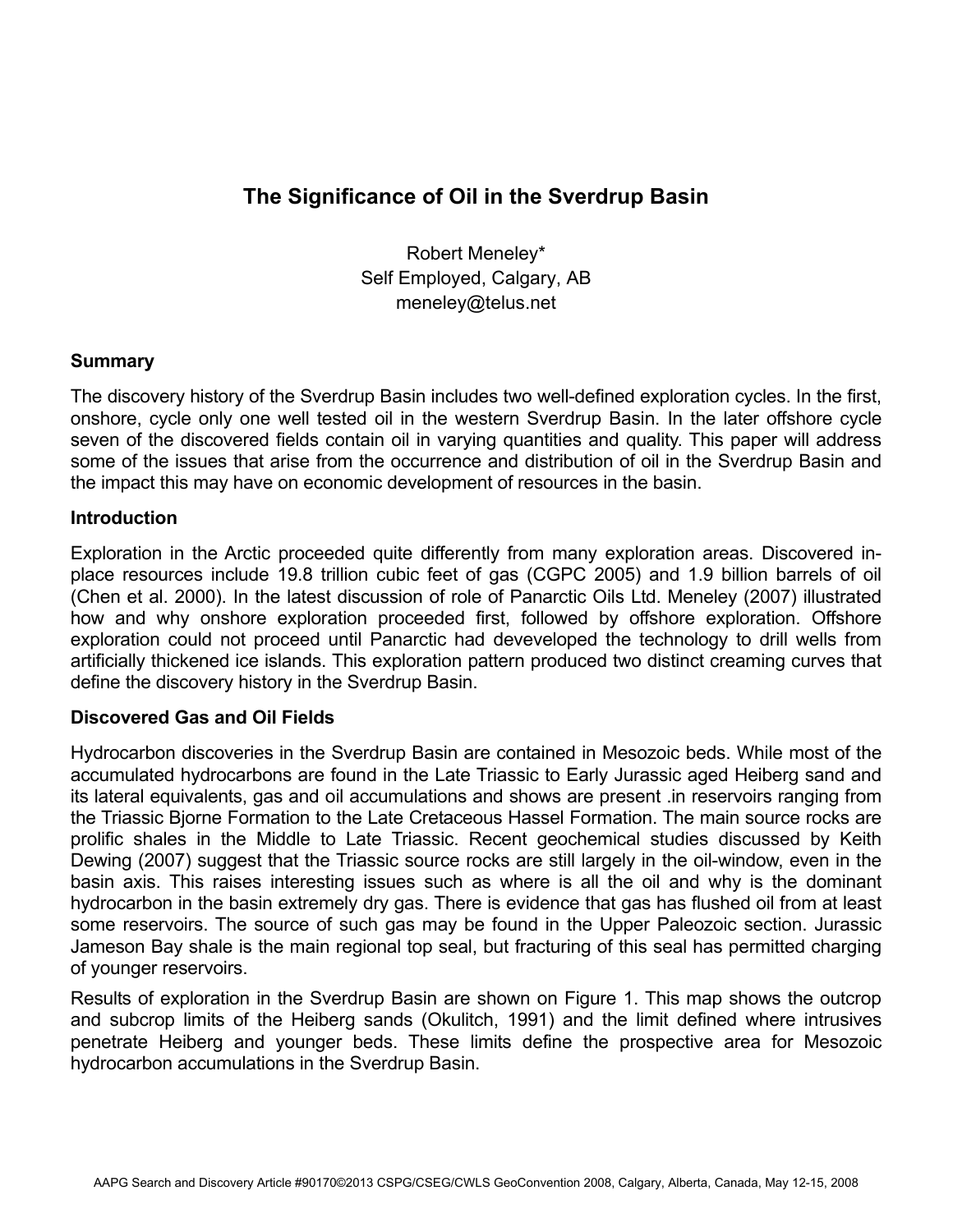# **The Significance of Oil in the Sverdrup Basin**

Robert Meneley\* Self Employed, Calgary, AB meneley@telus.net

### **Summary**

The discovery history of the Sverdrup Basin includes two well-defined exploration cycles. In the first, onshore, cycle only one well tested oil in the western Sverdrup Basin. In the later offshore cycle seven of the discovered fields contain oil in varying quantities and quality. This paper will address some of the issues that arise from the occurrence and distribution of oil in the Sverdrup Basin and the impact this may have on economic development of resources in the basin.

### **Introduction**

Exploration in the Arctic proceeded quite differently from many exploration areas. Discovered inplace resources include 19.8 trillion cubic feet of gas (CGPC 2005) and 1.9 billion barrels of oil (Chen et al. 2000). In the latest discussion of role of Panarctic Oils Ltd. Meneley (2007) illustrated how and why onshore exploration proceeded first, followed by offshore exploration. Offshore exploration could not proceed until Panarctic had deveveloped the technology to drill wells from artificially thickened ice islands. This exploration pattern produced two distinct creaming curves that define the discovery history in the Sverdrup Basin.

## **Discovered Gas and Oil Fields**

Hydrocarbon discoveries in the Sverdrup Basin are contained in Mesozoic beds. While most of the accumulated hydrocarbons are found in the Late Triassic to Early Jurassic aged Heiberg sand and its lateral equivalents, gas and oil accumulations and shows are present .in reservoirs ranging from the Triassic Bjorne Formation to the Late Cretaceous Hassel Formation. The main source rocks are prolific shales in the Middle to Late Triassic. Recent geochemical studies discussed by Keith Dewing (2007) suggest that the Triassic source rocks are still largely in the oil-window, even in the basin axis. This raises interesting issues such as where is all the oil and why is the dominant hydrocarbon in the basin extremely dry gas. There is evidence that gas has flushed oil from at least some reservoirs. The source of such gas may be found in the Upper Paleozoic section. Jurassic Jameson Bay shale is the main regional top seal, but fracturing of this seal has permitted charging of younger reservoirs.

Results of exploration in the Sverdrup Basin are shown on Figure 1. This map shows the outcrop and subcrop limits of the Heiberg sands (Okulitch, 1991) and the limit defined where intrusives penetrate Heiberg and younger beds. These limits define the prospective area for Mesozoic hydrocarbon accumulations in the Sverdrup Basin.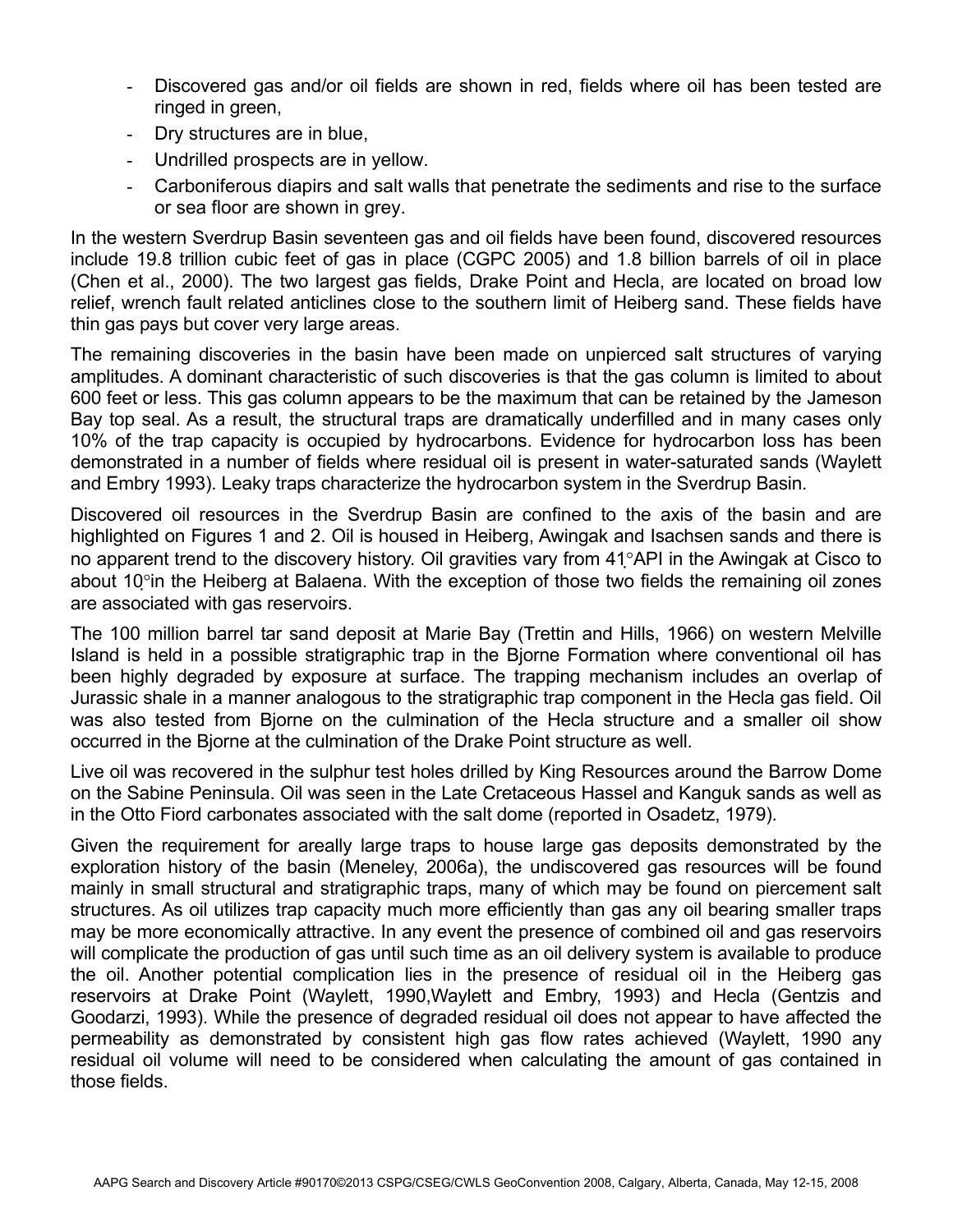- Discovered gas and/or oil fields are shown in red, fields where oil has been tested are ringed in green,
- Dry structures are in blue,
- Undrilled prospects are in yellow.
- Carboniferous diapirs and salt walls that penetrate the sediments and rise to the surface or sea floor are shown in grey.

In the western Sverdrup Basin seventeen gas and oil fields have been found, discovered resources include 19.8 trillion cubic feet of gas in place (CGPC 2005) and 1.8 billion barrels of oil in place (Chen et al., 2000). The two largest gas fields, Drake Point and Hecla, are located on broad low relief, wrench fault related anticlines close to the southern limit of Heiberg sand. These fields have thin gas pays but cover very large areas.

The remaining discoveries in the basin have been made on unpierced salt structures of varying amplitudes. A dominant characteristic of such discoveries is that the gas column is limited to about 600 feet or less. This gas column appears to be the maximum that can be retained by the Jameson Bay top seal. As a result, the structural traps are dramatically underfilled and in many cases only 10% of the trap capacity is occupied by hydrocarbons. Evidence for hydrocarbon loss has been demonstrated in a number of fields where residual oil is present in water-saturated sands (Waylett and Embry 1993). Leaky traps characterize the hydrocarbon system in the Sverdrup Basin.

Discovered oil resources in the Sverdrup Basin are confined to the axis of the basin and are highlighted on Figures 1 and 2. Oil is housed in Heiberg, Awingak and Isachsen sands and there is no apparent trend to the discovery history. Oil gravities vary from 41°API in the Awingak at Cisco to about 10°in the Heiberg at Balaena. With the exception of those two fields the remaining oil zones are associated with gas reservoirs.

The 100 million barrel tar sand deposit at Marie Bay (Trettin and Hills, 1966) on western Melville Island is held in a possible stratigraphic trap in the Bjorne Formation where conventional oil has been highly degraded by exposure at surface. The trapping mechanism includes an overlap of Jurassic shale in a manner analogous to the stratigraphic trap component in the Hecla gas field. Oil was also tested from Bjorne on the culmination of the Hecla structure and a smaller oil show occurred in the Bjorne at the culmination of the Drake Point structure as well.

Live oil was recovered in the sulphur test holes drilled by King Resources around the Barrow Dome on the Sabine Peninsula. Oil was seen in the Late Cretaceous Hassel and Kanguk sands as well as in the Otto Fiord carbonates associated with the salt dome (reported in Osadetz, 1979).

Given the requirement for areally large traps to house large gas deposits demonstrated by the exploration history of the basin (Meneley, 2006a), the undiscovered gas resources will be found mainly in small structural and stratigraphic traps, many of which may be found on piercement salt structures. As oil utilizes trap capacity much more efficiently than gas any oil bearing smaller traps may be more economically attractive. In any event the presence of combined oil and gas reservoirs will complicate the production of gas until such time as an oil delivery system is available to produce the oil. Another potential complication lies in the presence of residual oil in the Heiberg gas reservoirs at Drake Point (Waylett, 1990,Waylett and Embry, 1993) and Hecla (Gentzis and Goodarzi, 1993). While the presence of degraded residual oil does not appear to have affected the permeability as demonstrated by consistent high gas flow rates achieved (Waylett, 1990 any residual oil volume will need to be considered when calculating the amount of gas contained in those fields.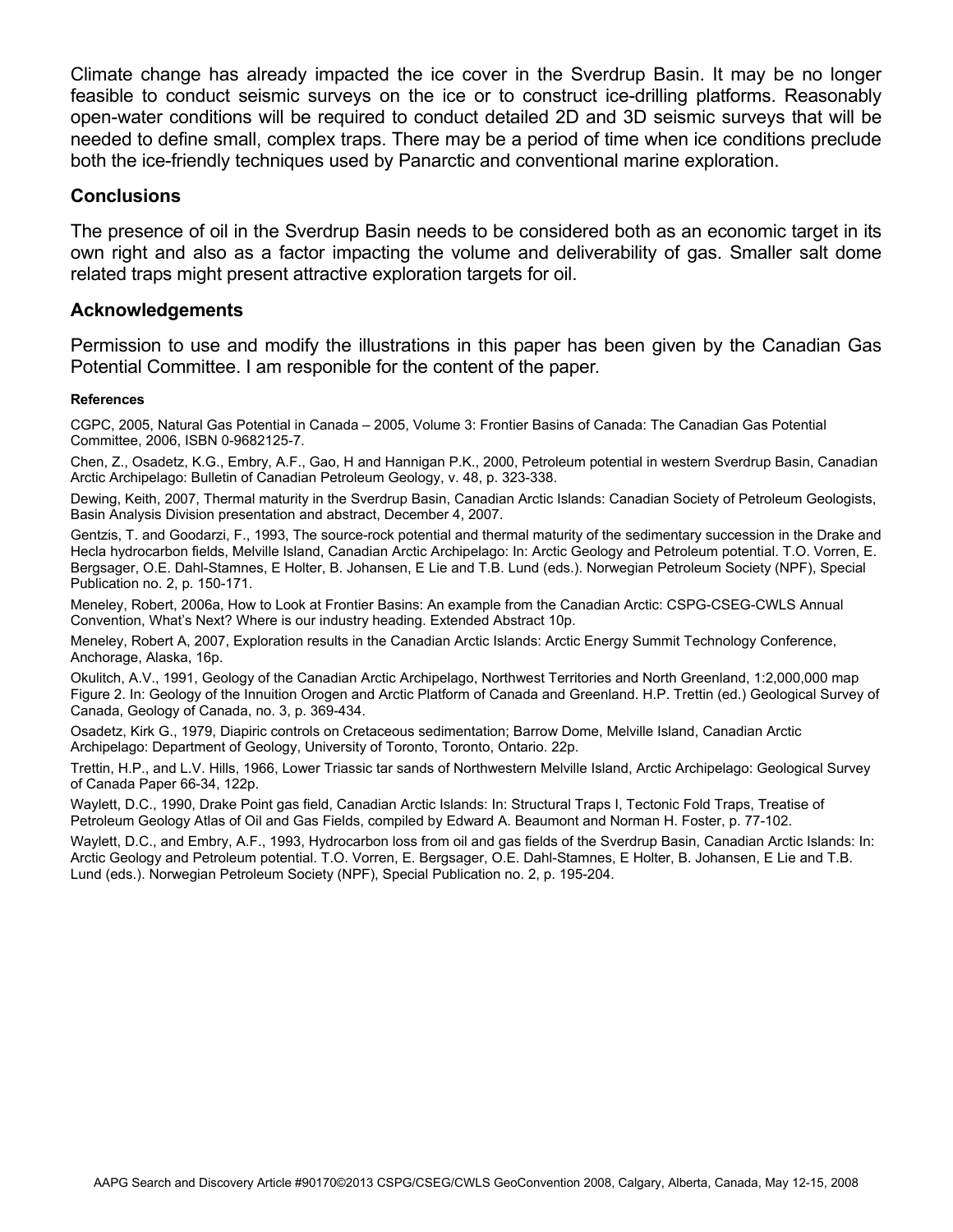Climate change has already impacted the ice cover in the Sverdrup Basin. It may be no longer feasible to conduct seismic surveys on the ice or to construct ice-drilling platforms. Reasonably open-water conditions will be required to conduct detailed 2D and 3D seismic surveys that will be needed to define small, complex traps. There may be a period of time when ice conditions preclude both the ice-friendly techniques used by Panarctic and conventional marine exploration.

#### **Conclusions**

The presence of oil in the Sverdrup Basin needs to be considered both as an economic target in its own right and also as a factor impacting the volume and deliverability of gas. Smaller salt dome related traps might present attractive exploration targets for oil.

#### **Acknowledgements**

Permission to use and modify the illustrations in this paper has been given by the Canadian Gas Potential Committee. I am responible for the content of the paper.

#### **References**

CGPC, 2005, Natural Gas Potential in Canada – 2005, Volume 3: Frontier Basins of Canada: The Canadian Gas Potential Committee, 2006, ISBN 0-9682125-7.

Chen, Z., Osadetz, K.G., Embry, A.F., Gao, H and Hannigan P.K., 2000, Petroleum potential in western Sverdrup Basin, Canadian Arctic Archipelago: Bulletin of Canadian Petroleum Geology, v. 48, p. 323-338.

Dewing, Keith, 2007, Thermal maturity in the Sverdrup Basin, Canadian Arctic Islands: Canadian Society of Petroleum Geologists, Basin Analysis Division presentation and abstract, December 4, 2007.

Gentzis, T. and Goodarzi, F., 1993, The source-rock potential and thermal maturity of the sedimentary succession in the Drake and Hecla hydrocarbon fields, Melville Island, Canadian Arctic Archipelago: In: Arctic Geology and Petroleum potential. T.O. Vorren, E. Bergsager, O.E. Dahl-Stamnes, E Holter, B. Johansen, E Lie and T.B. Lund (eds.). Norwegian Petroleum Society (NPF), Special Publication no. 2, p. 150-171.

Meneley, Robert, 2006a, How to Look at Frontier Basins: An example from the Canadian Arctic: CSPG-CSEG-CWLS Annual Convention, What's Next? Where is our industry heading. Extended Abstract 10p.

Meneley, Robert A, 2007, Exploration results in the Canadian Arctic Islands: Arctic Energy Summit Technology Conference, Anchorage, Alaska, 16p.

Okulitch, A.V., 1991, Geology of the Canadian Arctic Archipelago, Northwest Territories and North Greenland, 1:2,000,000 map Figure 2. In: Geology of the Innuition Orogen and Arctic Platform of Canada and Greenland. H.P. Trettin (ed.) Geological Survey of Canada, Geology of Canada, no. 3, p. 369-434.

Osadetz, Kirk G., 1979, Diapiric controls on Cretaceous sedimentation; Barrow Dome, Melville Island, Canadian Arctic Archipelago: Department of Geology, University of Toronto, Toronto, Ontario. 22p.

Trettin, H.P., and L.V. Hills, 1966, Lower Triassic tar sands of Northwestern Melville Island, Arctic Archipelago: Geological Survey of Canada Paper 66-34, 122p.

Waylett, D.C., 1990, Drake Point gas field, Canadian Arctic Islands: In: Structural Traps I, Tectonic Fold Traps, Treatise of Petroleum Geology Atlas of Oil and Gas Fields, compiled by Edward A. Beaumont and Norman H. Foster, p. 77-102.

Waylett, D.C., and Embry, A.F., 1993, Hydrocarbon loss from oil and gas fields of the Sverdrup Basin, Canadian Arctic Islands: In: Arctic Geology and Petroleum potential. T.O. Vorren, E. Bergsager, O.E. Dahl-Stamnes, E Holter, B. Johansen, E Lie and T.B. Lund (eds.). Norwegian Petroleum Society (NPF), Special Publication no. 2, p. 195-204.